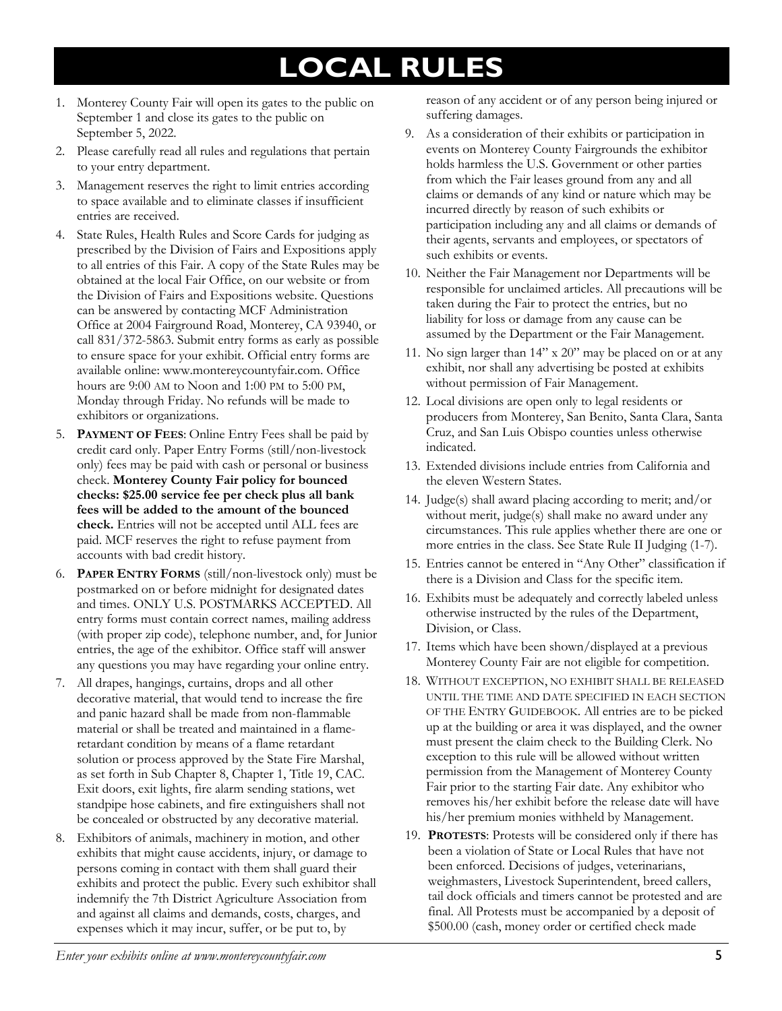## **LOCAL RULES**

- 1. Monterey County Fair will open its gates to the public on September 1 and close its gates to the public on September 5, 2022.
- 2. Please carefully read all rules and regulations that pertain to your entry department.
- 3. Management reserves the right to limit entries according to space available and to eliminate classes if insufficient entries are received.
- 4. State Rules, Health Rules and Score Cards for judging as prescribed by the Division of Fairs and Expositions apply to all entries of this Fair. A copy of the State Rules may be obtained at the local Fair Office, on our website or from the Division of Fairs and Expositions website. Questions can be answered by contacting MCF Administration Office at 2004 Fairground Road, Monterey, CA 93940, or call 831/372-5863. Submit entry forms as early as possible to ensure space for your exhibit. Official entry forms are available online: www.montereycountyfair.com. Office hours are 9:00 AM to Noon and 1:00 PM to 5:00 PM, Monday through Friday. No refunds will be made to exhibitors or organizations.
- 5. **PAYMENT OF FEES**: Online Entry Fees shall be paid by credit card only. Paper Entry Forms (still/non-livestock only) fees may be paid with cash or personal or business check. **Monterey County Fair policy for bounced checks: \$25.00 service fee per check plus all bank fees will be added to the amount of the bounced check.** Entries will not be accepted until ALL fees are paid. MCF reserves the right to refuse payment from accounts with bad credit history.
- 6. **PAPER ENTRY FORMS** (still/non-livestock only) must be postmarked on or before midnight for designated dates and times. ONLY U.S. POSTMARKS ACCEPTED. All entry forms must contain correct names, mailing address (with proper zip code), telephone number, and, for Junior entries, the age of the exhibitor. Office staff will answer any questions you may have regarding your online entry.
- 7. All drapes, hangings, curtains, drops and all other decorative material, that would tend to increase the fire and panic hazard shall be made from non-flammable material or shall be treated and maintained in a flameretardant condition by means of a flame retardant solution or process approved by the State Fire Marshal, as set forth in Sub Chapter 8, Chapter 1, Title 19, CAC. Exit doors, exit lights, fire alarm sending stations, wet standpipe hose cabinets, and fire extinguishers shall not be concealed or obstructed by any decorative material.
- 8. Exhibitors of animals, machinery in motion, and other exhibits that might cause accidents, injury, or damage to persons coming in contact with them shall guard their exhibits and protect the public. Every such exhibitor shall indemnify the 7th District Agriculture Association from and against all claims and demands, costs, charges, and expenses which it may incur, suffer, or be put to, by

reason of any accident or of any person being injured or suffering damages.

- 9. As a consideration of their exhibits or participation in events on Monterey County Fairgrounds the exhibitor holds harmless the U.S. Government or other parties from which the Fair leases ground from any and all claims or demands of any kind or nature which may be incurred directly by reason of such exhibits or participation including any and all claims or demands of their agents, servants and employees, or spectators of such exhibits or events.
- 10. Neither the Fair Management nor Departments will be responsible for unclaimed articles. All precautions will be taken during the Fair to protect the entries, but no liability for loss or damage from any cause can be assumed by the Department or the Fair Management.
- 11. No sign larger than 14" x 20" may be placed on or at any exhibit, nor shall any advertising be posted at exhibits without permission of Fair Management.
- 12. Local divisions are open only to legal residents or producers from Monterey, San Benito, Santa Clara, Santa Cruz, and San Luis Obispo counties unless otherwise indicated.
- 13. Extended divisions include entries from California and the eleven Western States.
- 14. Judge(s) shall award placing according to merit; and/or without merit, judge(s) shall make no award under any circumstances. This rule applies whether there are one or more entries in the class. See State Rule II Judging (1-7).
- 15. Entries cannot be entered in "Any Other" classification if there is a Division and Class for the specific item.
- 16. Exhibits must be adequately and correctly labeled unless otherwise instructed by the rules of the Department, Division, or Class.
- 17. Items which have been shown/displayed at a previous Monterey County Fair are not eligible for competition.
- 18. WITHOUT EXCEPTION, NO EXHIBIT SHALL BE RELEASED UNTIL THE TIME AND DATE SPECIFIED IN EACH SECTION OF THE ENTRY GUIDEBOOK. All entries are to be picked up at the building or area it was displayed, and the owner must present the claim check to the Building Clerk. No exception to this rule will be allowed without written permission from the Management of Monterey County Fair prior to the starting Fair date. Any exhibitor who removes his/her exhibit before the release date will have his/her premium monies withheld by Management.
- 19. **PROTESTS**: Protests will be considered only if there has been a violation of State or Local Rules that have not been enforced. Decisions of judges, veterinarians, weighmasters, Livestock Superintendent, breed callers, tail dock officials and timers cannot be protested and are final. All Protests must be accompanied by a deposit of \$500.00 (cash, money order or certified check made